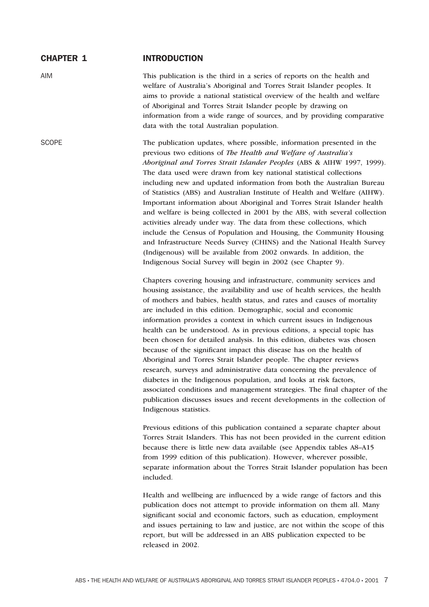## CHAPTER 1 INTRODUCTION

AIM This publication is the third in a series of reports on the health and welfare of Australia's Aboriginal and Torres Strait Islander peoples. It aims to provide a national statistical overview of the health and welfare of Aboriginal and Torres Strait Islander people by drawing on information from a wide range of sources, and by providing comparative data with the total Australian population.

SCOPE The publication updates, where possible, information presented in the previous two editions of *The Health and Welfare of Australia's Aboriginal and Torres Strait Islander Peoples* (ABS & AIHW 1997, 1999). The data used were drawn from key national statistical collections including new and updated information from both the Australian Bureau of Statistics (ABS) and Australian Institute of Health and Welfare (AIHW). Important information about Aboriginal and Torres Strait Islander health and welfare is being collected in 2001 by the ABS, with several collection activities already under way. The data from these collections, which include the Census of Population and Housing, the Community Housing and Infrastructure Needs Survey (CHINS) and the National Health Survey (Indigenous) will be available from 2002 onwards. In addition, the Indigenous Social Survey will begin in 2002 (see Chapter 9).

> Chapters covering housing and infrastructure, community services and housing assistance, the availability and use of health services, the health of mothers and babies, health status, and rates and causes of mortality are included in this edition. Demographic, social and economic information provides a context in which current issues in Indigenous health can be understood. As in previous editions, a special topic has been chosen for detailed analysis. In this edition, diabetes was chosen because of the significant impact this disease has on the health of Aboriginal and Torres Strait Islander people. The chapter reviews research, surveys and administrative data concerning the prevalence of diabetes in the Indigenous population, and looks at risk factors, associated conditions and management strategies. The final chapter of the publication discusses issues and recent developments in the collection of Indigenous statistics.

> Previous editions of this publication contained a separate chapter about Torres Strait Islanders. This has not been provided in the current edition because there is little new data available (see Appendix tables A8–A15 from 1999 edition of this publication). However, wherever possible, separate information about the Torres Strait Islander population has been included.

Health and wellbeing are influenced by a wide range of factors and this publication does not attempt to provide information on them all. Many significant social and economic factors, such as education, employment and issues pertaining to law and justice, are not within the scope of this report, but will be addressed in an ABS publication expected to be released in 2002.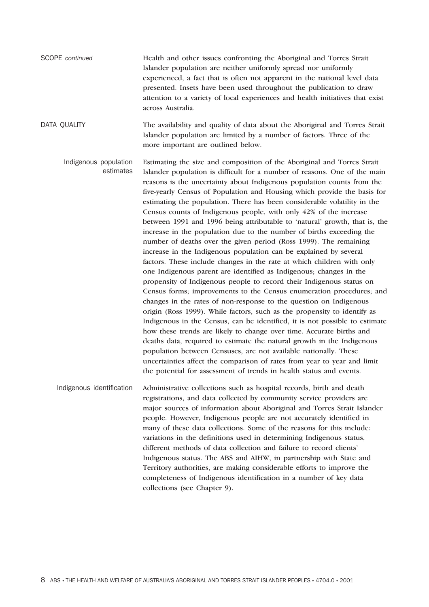SCOPE *continued* Health and other issues confronting the Aboriginal and Torres Strait Islander population are neither uniformly spread nor uniformly experienced, a fact that is often not apparent in the national level data presented. Insets have been used throughout the publication to draw attention to a variety of local experiences and health initiatives that exist across Australia.

DATA QUALITY The availability and quality of data about the Aboriginal and Torres Strait Islander population are limited by a number of factors. Three of the more important are outlined below.

Indigenous population estimates Estimating the size and composition of the Aboriginal and Torres Strait Islander population is difficult for a number of reasons. One of the main reasons is the uncertainty about Indigenous population counts from the five-yearly Census of Population and Housing which provide the basis for estimating the population. There has been considerable volatility in the Census counts of Indigenous people, with only 42% of the increase between 1991 and 1996 being attributable to 'natural' growth, that is, the increase in the population due to the number of births exceeding the number of deaths over the given period (Ross 1999). The remaining increase in the Indigenous population can be explained by several factors. These include changes in the rate at which children with only one Indigenous parent are identified as Indigenous; changes in the propensity of Indigenous people to record their Indigenous status on Census forms; improvements to the Census enumeration procedures; and changes in the rates of non-response to the question on Indigenous origin (Ross 1999). While factors, such as the propensity to identify as Indigenous in the Census, can be identified, it is not possible to estimate how these trends are likely to change over time. Accurate births and deaths data, required to estimate the natural growth in the Indigenous population between Censuses, are not available nationally. These uncertainties affect the comparison of rates from year to year and limit the potential for assessment of trends in health status and events.

Indigenous identification Administrative collections such as hospital records, birth and death registrations, and data collected by community service providers are major sources of information about Aboriginal and Torres Strait Islander people. However, Indigenous people are not accurately identified in many of these data collections. Some of the reasons for this include: variations in the definitions used in determining Indigenous status, different methods of data collection and failure to record clients' Indigenous status. The ABS and AIHW, in partnership with State and Territory authorities, are making considerable efforts to improve the completeness of Indigenous identification in a number of key data collections (see Chapter 9).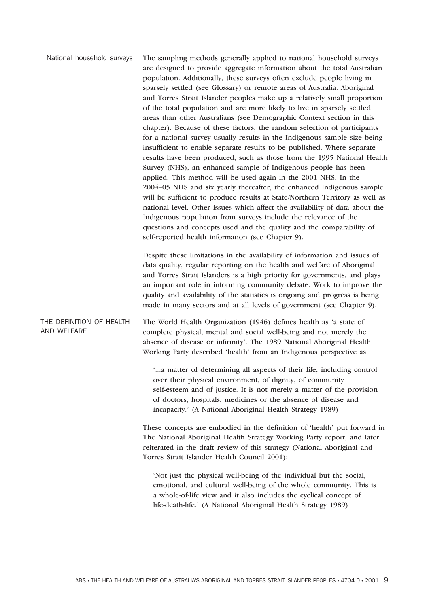National household surveys The sampling methods generally applied to national household surveys are designed to provide aggregate information about the total Australian population. Additionally, these surveys often exclude people living in sparsely settled (see Glossary) or remote areas of Australia. Aboriginal and Torres Strait Islander peoples make up a relatively small proportion of the total population and are more likely to live in sparsely settled areas than other Australians (see Demographic Context section in this chapter). Because of these factors, the random selection of participants for a national survey usually results in the Indigenous sample size being insufficient to enable separate results to be published. Where separate results have been produced, such as those from the 1995 National Health Survey (NHS), an enhanced sample of Indigenous people has been applied. This method will be used again in the 2001 NHS. In the 2004–05 NHS and six yearly thereafter, the enhanced Indigenous sample will be sufficient to produce results at State/Northern Territory as well as national level. Other issues which affect the availability of data about the Indigenous population from surveys include the relevance of the questions and concepts used and the quality and the comparability of self-reported health information (see Chapter 9). Despite these limitations in the availability of information and issues of data quality, regular reporting on the health and welfare of Aboriginal and Torres Strait Islanders is a high priority for governments, and plays an important role in informing community debate. Work to improve the quality and availability of the statistics is ongoing and progress is being made in many sectors and at all levels of government (see Chapter 9). THE DEFINITION OF HEALTH AND WELFARE The World Health Organization (1946) defines health as 'a state of complete physical, mental and social well-being and not merely the absence of disease or infirmity'. The 1989 National Aboriginal Health Working Party described 'health' from an Indigenous perspective as: '...a matter of determining all aspects of their life, including control over their physical environment, of dignity, of community self-esteem and of justice. It is not merely a matter of the provision of doctors, hospitals, medicines or the absence of disease and incapacity.' (A National Aboriginal Health Strategy 1989) These concepts are embodied in the definition of 'health' put forward in The National Aboriginal Health Strategy Working Party report, and later reiterated in the draft review of this strategy (National Aboriginal and Torres Strait Islander Health Council 2001): 'Not just the physical well-being of the individual but the social, emotional, and cultural well-being of the whole community. This is a whole-of-life view and it also includes the cyclical concept of

life-death-life.' (A National Aboriginal Health Strategy 1989)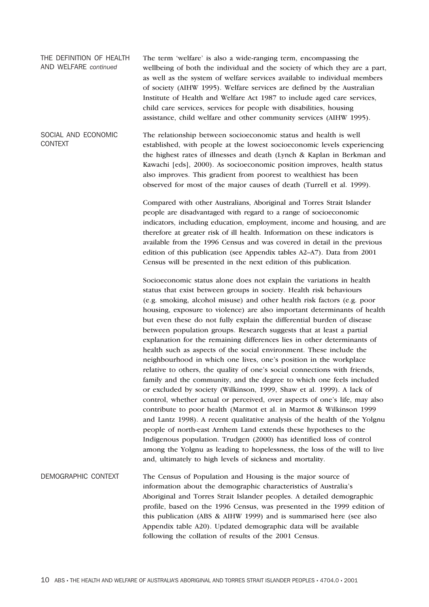THE DEFINITION OF HEALTH AND WELFARE *continued* The term 'welfare' is also a wide-ranging term, encompassing the wellbeing of both the individual and the society of which they are a part, as well as the system of welfare services available to individual members of society (AIHW 1995). Welfare services are defined by the Australian Institute of Health and Welfare Act 1987 to include aged care services, child care services, services for people with disabilities, housing assistance, child welfare and other community services (AIHW 1995).

SOCIAL AND ECONOMIC CONTEXT The relationship between socioeconomic status and health is well established, with people at the lowest socioeconomic levels experiencing the highest rates of illnesses and death (Lynch & Kaplan in Berkman and Kawachi [eds], 2000). As socioeconomic position improves, health status also improves. This gradient from poorest to wealthiest has been observed for most of the major causes of death (Turrell et al. 1999).

> Compared with other Australians, Aboriginal and Torres Strait Islander people are disadvantaged with regard to a range of socioeconomic indicators, including education, employment, income and housing, and are therefore at greater risk of ill health. Information on these indicators is available from the 1996 Census and was covered in detail in the previous edition of this publication (see Appendix tables A2–A7). Data from 2001 Census will be presented in the next edition of this publication.

> Socioeconomic status alone does not explain the variations in health status that exist between groups in society. Health risk behaviours (e.g. smoking, alcohol misuse) and other health risk factors (e.g. poor housing, exposure to violence) are also important determinants of health but even these do not fully explain the differential burden of disease between population groups. Research suggests that at least a partial explanation for the remaining differences lies in other determinants of health such as aspects of the social environment. These include the neighbourhood in which one lives, one's position in the workplace relative to others, the quality of one's social connections with friends, family and the community, and the degree to which one feels included or excluded by society (Wilkinson, 1999, Shaw et al. 1999). A lack of control, whether actual or perceived, over aspects of one's life, may also contribute to poor health (Marmot et al. in Marmot & Wilkinson 1999 and Lantz 1998). A recent qualitative analysis of the health of the Yolgnu people of north-east Arnhem Land extends these hypotheses to the Indigenous population. Trudgen (2000) has identified loss of control among the Yolgnu as leading to hopelessness, the loss of the will to live and, ultimately to high levels of sickness and mortality.

DEMOGRAPHIC CONTEXT The Census of Population and Housing is the major source of information about the demographic characteristics of Australia's Aboriginal and Torres Strait Islander peoples. A detailed demographic profile, based on the 1996 Census, was presented in the 1999 edition of this publication (ABS & AIHW 1999) and is summarised here (see also Appendix table A20). Updated demographic data will be available following the collation of results of the 2001 Census.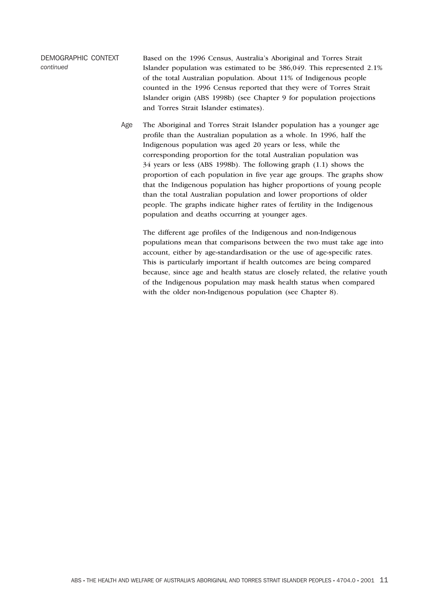DEMOGRAPHIC CONTEXT *continued* Based on the 1996 Census, Australia's Aboriginal and Torres Strait Islander population was estimated to be 386,049. This represented 2.1% of the total Australian population. About 11% of Indigenous people counted in the 1996 Census reported that they were of Torres Strait Islander origin (ABS 1998b) (see Chapter 9 for population projections and Torres Strait Islander estimates).

> Age The Aboriginal and Torres Strait Islander population has a younger age profile than the Australian population as a whole. In 1996, half the Indigenous population was aged 20 years or less, while the corresponding proportion for the total Australian population was 34 years or less (ABS 1998b). The following graph (1.1) shows the proportion of each population in five year age groups. The graphs show that the Indigenous population has higher proportions of young people than the total Australian population and lower proportions of older people. The graphs indicate higher rates of fertility in the Indigenous population and deaths occurring at younger ages.

The different age profiles of the Indigenous and non-Indigenous populations mean that comparisons between the two must take age into account, either by age-standardisation or the use of age-specific rates. This is particularly important if health outcomes are being compared because, since age and health status are closely related, the relative youth of the Indigenous population may mask health status when compared with the older non-Indigenous population (see Chapter 8).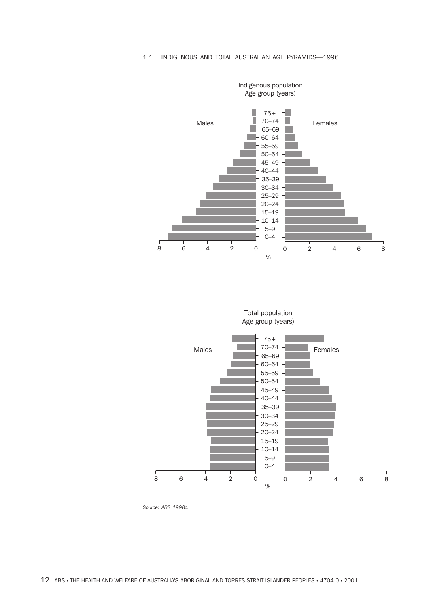1.1 INDIGENOUS AND TOTAL AUSTRALIAN AGE PYRAMIDS—1996





*Source: ABS 1998c.*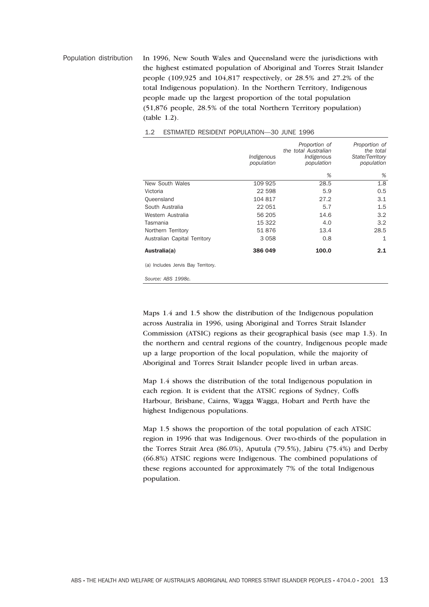Population distribution In 1996, New South Wales and Queensland were the jurisdictions with the highest estimated population of Aboriginal and Torres Strait Islander people (109,925 and 104,817 respectively, or 28.5% and 27.2% of the total Indigenous population). In the Northern Territory, Indigenous people made up the largest proportion of the total population (51,876 people, 28.5% of the total Northern Territory population) (table 1.2).

|                                    | Indigenous<br>population | Proportion of<br>the total Australian<br>Indigenous<br>population | Proportion of<br>the total<br>State/Territory<br>population |
|------------------------------------|--------------------------|-------------------------------------------------------------------|-------------------------------------------------------------|
|                                    |                          | %                                                                 | %                                                           |
| New South Wales                    | 109 925                  | 28.5                                                              | 1.8                                                         |
| Victoria                           | 22 598                   | 5.9                                                               | 0.5                                                         |
| Queensland                         | 104 817                  | 27.2                                                              | 3.1                                                         |
| South Australia                    | 22 051                   | 5.7                                                               | $1.5\,$                                                     |
| Western Australia                  | 56 205                   | 14.6                                                              | 3.2                                                         |
| Tasmania                           | 15 322                   | 4.0                                                               | 3.2                                                         |
| Northern Territory                 | 51876                    | 13.4                                                              | 28.5                                                        |
| Australian Capital Territory       | 3058                     | 0.8                                                               | 1                                                           |
| Australia(a)                       | 386 049                  | 100.0                                                             | 2.1                                                         |
| (a) Includes Jervis Bay Territory. |                          |                                                                   |                                                             |
| Source: ABS 1998c.                 |                          |                                                                   |                                                             |

1.2 ESTIMATED RESIDENT POPULATION—30 JUNE 1996

Maps 1.4 and 1.5 show the distribution of the Indigenous population across Australia in 1996, using Aboriginal and Torres Strait Islander Commission (ATSIC) regions as their geographical basis (see map 1.3). In the northern and central regions of the country, Indigenous people made up a large proportion of the local population, while the majority of Aboriginal and Torres Strait Islander people lived in urban areas.

Map 1.4 shows the distribution of the total Indigenous population in each region. It is evident that the ATSIC regions of Sydney, Coffs Harbour, Brisbane, Cairns, Wagga Wagga, Hobart and Perth have the highest Indigenous populations.

Map 1.5 shows the proportion of the total population of each ATSIC region in 1996 that was Indigenous. Over two-thirds of the population in the Torres Strait Area (86.0%), Aputula (79.5%), Jabiru (75.4%) and Derby (66.8%) ATSIC regions were Indigenous. The combined populations of these regions accounted for approximately 7% of the total Indigenous population.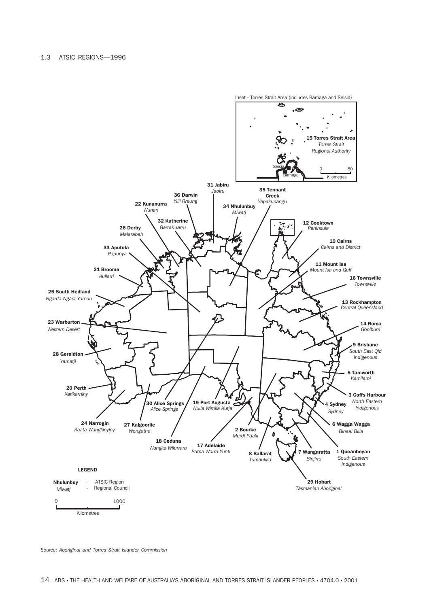

*Source: Aboriginal and Torres Strait Islander Commission*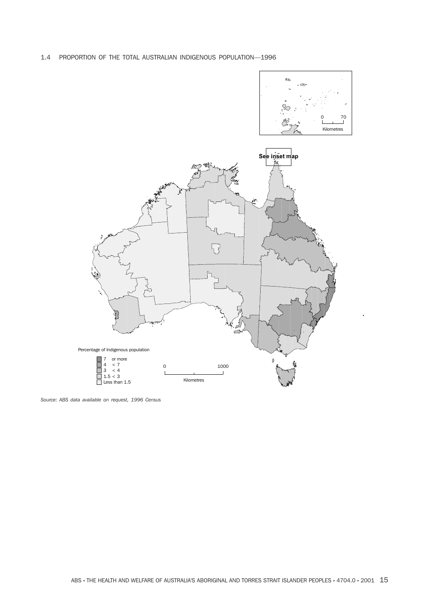

*Source: ABS data available on request, 1996 Census*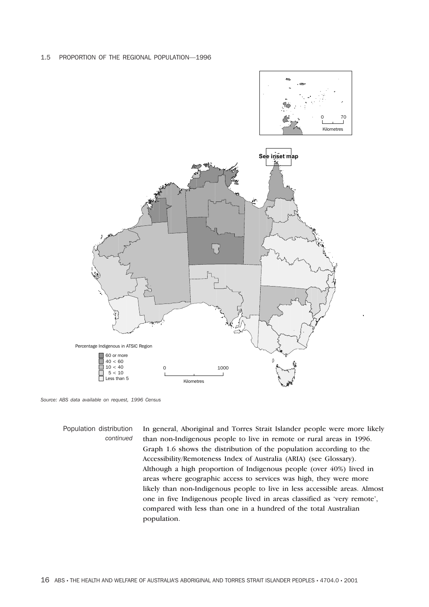## 1.5 PROPORTION OF THE REGIONAL POPULATION—1996



*Source: ABS data available on request, 1996 Census*

Population distribution *continued* In general, Aboriginal and Torres Strait Islander people were more likely than non-Indigenous people to live in remote or rural areas in 1996. Graph 1.6 shows the distribution of the population according to the Accessibility/Remoteness Index of Australia (ARIA) (see Glossary). Although a high proportion of Indigenous people (over 40%) lived in areas where geographic access to services was high, they were more likely than non-Indigenous people to live in less accessible areas. Almost one in five Indigenous people lived in areas classified as 'very remote', compared with less than one in a hundred of the total Australian population.